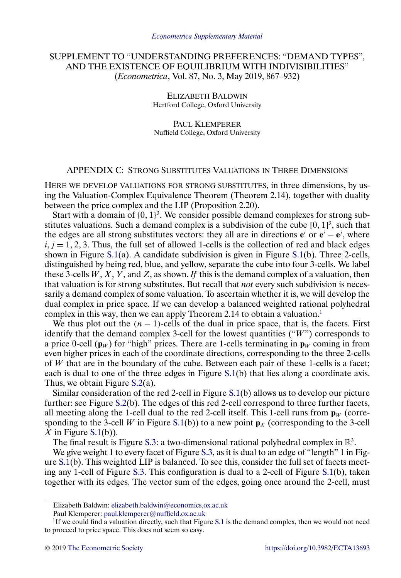## SUPPLEMENT TO "UNDERSTANDING PREFERENCES: "DEMAND TYPES", AND THE EXISTENCE OF EQUILIBRIUM WITH INDIVISIBILITIES" (*Econometrica*, Vol. 87, No. 3, May 2019, 867–932)

ELIZABETH BALDWIN Hertford College, Oxford University

PAUL KLEMPERER Nuffield College, Oxford University

## APPENDIX C: STRONG SUBSTITUTES VALUATIONS IN THREE DIMENSIONS

HERE WE DEVELOP VALUATIONS FOR STRONG SUBSTITUTES, in three dimensions, by using the Valuation-Complex Equivalence Theorem (Theorem 2.14), together with duality between the price complex and the LIP (Proposition 2.20).

Start with a domain of  $\{0, 1\}^3$ . We consider possible demand complexes for strong substitutes valuations. Such a demand complex is a subdivision of the cube  $[0, 1]^3$ , such that the edges are all strong substitutes vectors: they all are in directions **e**<sup>i</sup> or **e**<sup>i</sup> − **e**<sup>j</sup> , where  $i, j = 1, 2, 3$ . Thus, the full set of allowed 1-cells is the collection of red and black edges shown in Figure [S.1\(](#page-1-0)a). A candidate subdivision is given in Figure S.1(b). Three 2-cells, distinguished by being red, blue, and yellow, separate the cube into four 3-cells. We label these 3-cells  $W, X, Y$ , and  $Z$ , as shown. If this is the demand complex of a valuation, then that valuation is for strong substitutes. But recall that *not* every such subdivision is necessarily a demand complex of some valuation. To ascertain whether it is, we will develop the dual complex in price space. If we can develop a balanced weighted rational polyhedral complex in this way, then we can apply Theorem 2.14 to obtain a valuation.<sup>1</sup>

We thus plot out the  $(n - 1)$ -cells of the dual in price space, that is, the facets. First identify that the demand complex 3-cell for the lowest quantities (" $W$ ") corresponds to a price 0-cell ( $\mathbf{p}_W$ ) for "high" prices. There are 1-cells terminating in  $\mathbf{p}_W$  coming in from even higher prices in each of the coordinate directions, corresponding to the three 2-cells of W that are in the boundary of the cube. Between each pair of these 1-cells is a facet; each is dual to one of the three edges in Figure [S.1\(](#page-1-0)b) that lies along a coordinate axis. Thus, we obtain Figure [S.2\(](#page-1-0)a).

Similar consideration of the red 2-cell in Figure [S.1\(](#page-1-0)b) allows us to develop our picture further: see Figure [S.2\(](#page-1-0)b). The edges of this red 2-cell correspond to three further facets, all meeting along the 1-cell dual to the red 2-cell itself. This 1-cell runs from  $\mathbf{p}_W$  (corre-sponding to the 3-cell W in Figure [S.1\(](#page-1-0)b)) to a new point  $\mathbf{p}_X$  (corresponding to the 3-cell X in Figure [S.1\(](#page-1-0)b)).

The final result is Figure [S.3:](#page-2-0) a two-dimensional rational polyhedral complex in  $\mathbb{R}^3$ .

We give weight 1 to every facet of Figure [S.3,](#page-2-0) as it is dual to an edge of "length" 1 in Figure [S.1\(](#page-1-0)b). This weighted LIP is balanced. To see this, consider the full set of facets meeting any 1-cell of Figure [S.3.](#page-2-0) This configuration is dual to a 2-cell of Figure [S.1\(](#page-1-0)b), taken together with its edges. The vector sum of the edges, going once around the 2-cell, must

Elizabeth Baldwin: [elizabeth.baldwin@economics.ox.ac.uk](mailto:elizabeth.baldwin@economics.ox.ac.uk)

Paul Klemperer: [paul.klemperer@nuffield.ox.ac.uk](mailto:paul.klemperer@nuffield.ox.ac.uk)

<sup>&</sup>lt;sup>1</sup>If we could find a valuation directly, such that Figure [S.1](#page-1-0) is the demand complex, then we would not need to proceed to price space. This does not seem so easy.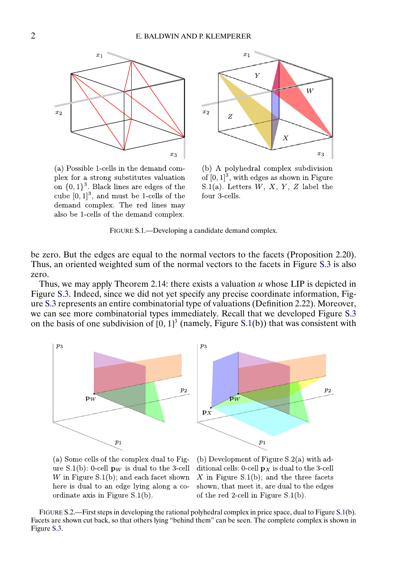<span id="page-1-0"></span>



(a) Possible 1-cells in the demand complex for a strong substitutes valuation on  $\{0,1\}^3$ . Black lines are edges of the cube  $[0, 1]^3$ , and must be 1-cells of the demand complex. The red lines may also be 1-cells of the demand complex.

(b) A polyhedral complex subdivision of  $[0, 1]^3$ , with edges as shown in Figure S.1(a). Letters  $W, X, Y, Z$  label the four 3-cells.

FIGURE S.1.—Developing a candidate demand complex.

be zero. But the edges are equal to the normal vectors to the facets (Proposition 2.20). Thus, an oriented weighted sum of the normal vectors to the facets in Figure [S.3](#page-2-0) is also zero.

Thus, we may apply Theorem 2.14: there exists a valuation  $u$  whose LIP is depicted in Figure [S.3.](#page-2-0) Indeed, since we did not yet specify any precise coordinate information, Figure [S.3](#page-2-0) represents an entire combinatorial type of valuations (Definition 2.22). Moreover, we can see more combinatorial types immediately. Recall that we developed Figure [S.3](#page-2-0) on the basis of one subdivision of  $[0, 1]^3$  (namely, Figure S.1(b)) that was consistent with



(a) Some cells of the complex dual to Figure S.1(b): 0-cell  $\mathbf{p}_W$  is dual to the 3-cell W in Figure  $S(1(b))$ ; and each facet shown here is dual to an edge lying along a coordinate axis in Figure  $S(1(b))$ .

(b) Development of Figure  $S.2(a)$  with additional cells: 0-cell  $\mathbf{p}_X$  is dual to the 3-cell X in Figure S.1(b); and the three facets shown, that meet it, are dual to the edges of the red 2-cell in Figure  $S(1(b))$ .

FIGURE S.2.—First steps in developing the rational polyhedral complex in price space, dual to Figure S.1(b). Facets are shown cut back, so that others lying "behind them" can be seen. The complete complex is shown in Figure [S.3.](#page-2-0)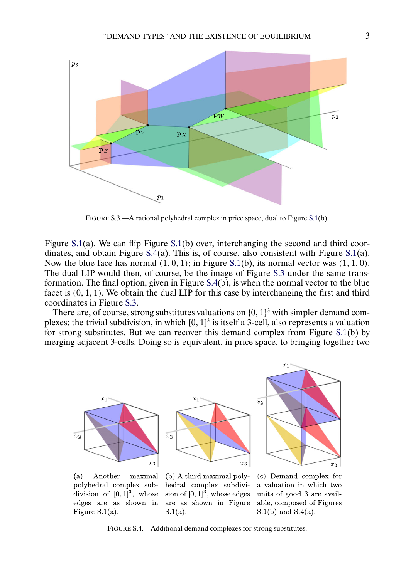<span id="page-2-0"></span>

FIGURE S.3.—A rational polyhedral complex in price space, dual to Figure [S.1\(](#page-1-0)b).

Figure [S.1\(](#page-1-0)a). We can flip Figure [S.1\(](#page-1-0)b) over, interchanging the second and third coor-dinates, and obtain Figure S.4(a). This is, of course, also consistent with Figure [S.1\(](#page-1-0)a). Now the blue face has normal  $(1, 0, 1)$ ; in Figure [S.1\(](#page-1-0)b), its normal vector was  $(1, 1, 0)$ . The dual LIP would then, of course, be the image of Figure S.3 under the same transformation. The final option, given in Figure S.4(b), is when the normal vector to the blue facet is  $(0, 1, 1)$ . We obtain the dual LIP for this case by interchanging the first and third coordinates in Figure S.3.

There are, of course, strong substitutes valuations on  $\{0, 1\}^3$  with simpler demand complexes; the trivial subdivision, in which  $[0, 1]^3$  is itself a 3-cell, also represents a valuation for strong substitutes. But we can recover this demand complex from Figure [S.1\(](#page-1-0)b) by merging adjacent 3-cells. Doing so is equivalent, in price space, to bringing together two



Another  $\operatorname{maximal}$ (a) polyhedral complex subdivision of  $[0,1]^3$ , whose edges are as shown in Figure  $S(1(a))$ .

(b) A third maximal polyhedral complex subdivision of  $[0,1]^3$ , whose edges are as shown in Figure  $S.1(a)$ .

(c) Demand complex for a valuation in which two units of good 3 are available, composed of Figures  $S.1(b)$  and  $S.4(a)$ .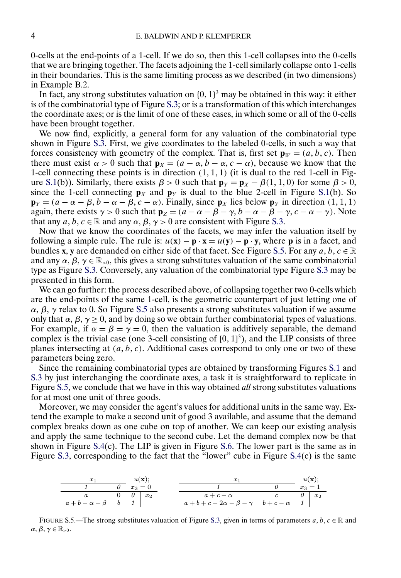0-cells at the end-points of a 1-cell. If we do so, then this 1-cell collapses into the 0-cells that we are bringing together. The facets adjoining the 1-cell similarly collapse onto 1-cells in their boundaries. This is the same limiting process as we described (in two dimensions) in Example B.2.

In fact, any strong substitutes valuation on  $\{0, 1\}^3$  may be obtained in this way: it either is of the combinatorial type of Figure [S.3;](#page-2-0) or is a transformation of this which interchanges the coordinate axes; or is the limit of one of these cases, in which some or all of the 0-cells have been brought together.

We now find, explicitly, a general form for any valuation of the combinatorial type shown in Figure [S.3.](#page-2-0) First, we give coordinates to the labeled 0-cells, in such a way that forces consistency with geometry of the complex. That is, first set  $\mathbf{p}_W = (a, b, c)$ . Then there must exist  $\alpha > 0$  such that  $\mathbf{p}_X = (a - \alpha, b - \alpha, c - \alpha)$ , because we know that the 1-cell connecting these points is in direction  $(1, 1, 1)$  (it is dual to the red 1-cell in Fig-ure [S.1\(](#page-1-0)b)). Similarly, there exists  $\beta > 0$  such that  $\mathbf{p}_Y = \mathbf{p}_X - \beta(1, 1, 0)$  for some  $\beta > 0$ , since the 1-cell connecting  $\mathbf{p}_X$  and  $\mathbf{p}_Y$  is dual to the blue 2-cell in Figure [S.1\(](#page-1-0)b). So  $\mathbf{p}_Y = (a - \alpha - \beta, b - \alpha - \beta, c - \alpha)$ . Finally, since  $\mathbf{p}_X$  lies below  $\mathbf{p}_Y$  in direction (1, 1, 1) again, there exists  $\gamma > 0$  such that  $\mathbf{p}_Z = (a - \alpha - \beta - \gamma, b - \alpha - \beta - \gamma, c - \alpha - \gamma)$ . Note that any  $a, b, c \in \mathbb{R}$  and any  $\alpha, \beta, \gamma > 0$  are consistent with Figure [S.3.](#page-2-0)

Now that we know the coordinates of the facets, we may infer the valuation itself by following a simple rule. The rule is:  $u(x) - p \cdot x = u(y) - p \cdot y$ , where p is in a facet, and bundles **x**, **y** are demanded on either side of that facet. See Figure S.5. For any  $a, b, c \in \mathbb{R}$ and any  $\alpha, \beta, \gamma \in \mathbb{R}_{>0}$ , this gives a strong substitutes valuation of the same combinatorial type as Figure [S.3.](#page-2-0) Conversely, any valuation of the combinatorial type Figure [S.3](#page-2-0) may be presented in this form.

We can go further: the process described above, of collapsing together two 0-cells which are the end-points of the same 1-cell, is the geometric counterpart of just letting one of  $\alpha$ ,  $\beta$ ,  $\gamma$  relax to 0. So Figure S.5 also presents a strong substitutes valuation if we assume only that  $\alpha$ ,  $\beta$ ,  $\gamma \ge 0$ , and by doing so we obtain further combinatorial types of valuations. For example, if  $\alpha = \beta = \gamma = 0$ , then the valuation is additively separable, the demand complex is the trivial case (one 3-cell consisting of  $[0, 1]$ <sup>3</sup>), and the LIP consists of three planes intersecting at  $(a, b, c)$ . Additional cases correspond to only one or two of these parameters being zero.

Since the remaining combinatorial types are obtained by transforming Figures [S.1](#page-1-0) and [S.3](#page-2-0) by just interchanging the coordinate axes, a task it is straightforward to replicate in Figure S.5, we conclude that we have in this way obtained *all* strong substitutes valuations for at most one unit of three goods.

Moreover, we may consider the agent's values for additional units in the same way. Extend the example to make a second unit of good 3 available, and assume that the demand complex breaks down as one cube on top of another. We can keep our existing analysis and apply the same technique to the second cube. Let the demand complex now be that shown in Figure [S.4\(](#page-2-0)c). The LIP is given in Figure [S.6.](#page-4-0) The lower part is the same as in Figure [S.3,](#page-2-0) corresponding to the fact that the "lower" cube in Figure [S.4\(](#page-2-0)c) is the same

| $x_1$                    | $u(x)$ ; | $x_1$     | $u(x)$ ; |                                        |                  |     |           |
|--------------------------|----------|-----------|----------|----------------------------------------|------------------|-----|-----------|
| $1$                      | $0$      | $x_3 = 0$ | $1$      | $0$                                    | $x_3 = 1$        |     |           |
| $a$                      | $0$      | $0$       | $x_2$    | $a + c - \alpha$                       | $c$              | $0$ | $x_3 = 1$ |
| $a + b - \alpha - \beta$ | $b$      | $1$       | $a$      | $a + b + c - 2\alpha - \beta - \gamma$ | $b + c - \alpha$ | $1$ | $x_2$     |

FIGURE S.5.—The strong substitutes valuation of Figure [S.3,](#page-2-0) given in terms of parameters  $a, b, c \in \mathbb{R}$  and  $\alpha, \beta, \gamma \in \mathbb{R}_{>0}.$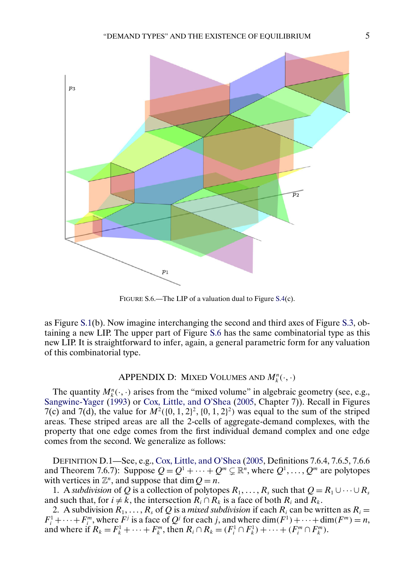<span id="page-4-0"></span>

FIGURE S.6.—The LIP of a valuation dual to Figure [S.4\(](#page-2-0)c).

as Figure [S.1\(](#page-1-0)b). Now imagine interchanging the second and third axes of Figure [S.3,](#page-2-0) obtaining a new LIP. The upper part of Figure S.6 has the same combinatorial type as this new LIP. It is straightforward to infer, again, a general parametric form for any valuation of this combinatorial type.

## APPENDIX D: MIXED VOLUMES AND  $M_k^n(\cdot, \cdot)$

The quantity  $M_k^n(\cdot, \cdot)$  arises from the "mixed volume" in algebraic geometry (see, e.g., [Sangwine-Yager](#page-6-0) [\(1993\)](#page-6-0) or [Cox, Little, and O'Shea](#page-6-0) [\(2005,](#page-6-0) Chapter 7)). Recall in Figures 7(c) and 7(d), the value for  $M^2(\{0, 1, 2\}^2, \{0, 1, 2\}^2)$  was equal to the sum of the striped areas. These striped areas are all the 2-cells of aggregate-demand complexes, with the property that one edge comes from the first individual demand complex and one edge comes from the second. We generalize as follows:

DEFINITION D.1—See, e.g., [Cox, Little, and O'Shea](#page-6-0) [\(2005,](#page-6-0) Definitions 7.6.4, 7.6.5, 7.6.6 and Theorem 7.6.7): Suppose  $Q = Q^1 + \cdots + Q^m \subsetneq \mathbb{R}^n$ , where  $Q^1, \ldots, Q^m$  are polytopes with vertices in  $\mathbb{Z}^n$ , and suppose that dim  $Q = n$ .

1. A *subdivision* of Q is a collection of polytopes  $R_1, \ldots, R_s$  such that  $Q = R_1 \cup \cdots \cup R_s$ and such that, for  $i \neq k$ , the intersection  $R_i \cap R_k$  is a face of both  $R_i$  and  $R_k$ .

2. A subdivision  $R_1, \ldots, R_s$  of Q is a *mixed subdivision* if each  $R_i$  can be written as  $R_i =$  $F_i^1 + \cdots + F_i^m$ , where  $F^j$  is a face of  $Q^j$  for each j, and where  $\dim(F^1) + \cdots + \dim(F^m) = n$ , and where if  $R_k = F_k^1 + \cdots + F_k^m$ , then  $R_i \cap R_k = (F_i^1 \cap F_k^1) + \cdots + (F_i^m \cap F_k^m)$ .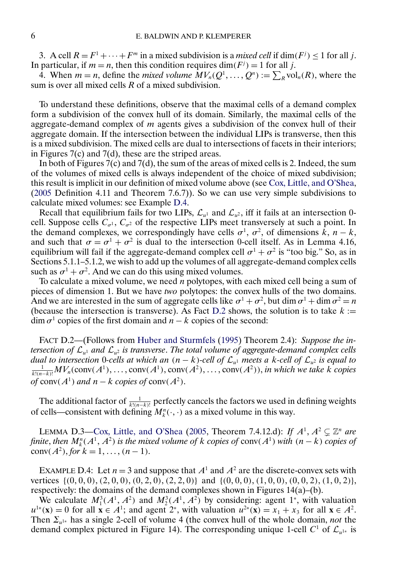<span id="page-5-0"></span>3. A cell  $R = F^1 + \cdots + F^m$  in a mixed subdivision is a *mixed cell* if  $\dim(F^j) \le 1$  for all j. In particular, if  $m = n$ , then this condition requires  $\dim(F^j) = 1$  for all j.

4. When  $m = n$ , define the *mixed volume*  $MV_n(Q^1, ..., Q^n) := \sum_R \text{vol}_n(R)$ , where the sum is over all mixed cells  $R$  of a mixed subdivision.

To understand these definitions, observe that the maximal cells of a demand complex form a subdivision of the convex hull of its domain. Similarly, the maximal cells of the aggregate-demand complex of  $m$  agents gives a subdivision of the convex hull of their aggregate domain. If the intersection between the individual LIPs is transverse, then this is a mixed subdivision. The mixed cells are dual to intersections of facets in their interiors; in Figures 7(c) and 7(d), these are the striped areas.

In both of Figures 7(c) and 7(d), the sum of the areas of mixed cells is 2. Indeed, the sum of the volumes of mixed cells is always independent of the choice of mixed subdivision; this result is implicit in our definition of mixed volume above (see [Cox, Little, and O'Shea,](#page-6-0) [\(2005](#page-6-0) Definition 4.11 and Theorem 7.6.7)). So we can use very simple subdivisions to calculate mixed volumes: see Example D.4.

Recall that equilibrium fails for two LIPs,  $\mathcal{L}_{u}$  and  $\mathcal{L}_{u^2}$ , iff it fails at an intersection 0cell. Suppose cells  $C_{\sigma^1}$ ,  $C_{\sigma^2}$  of the respective LIPs meet transversely at such a point. In the demand complexes, we correspondingly have cells  $\sigma^1$ ,  $\sigma^2$ , of dimensions  $\hat{k}$ ,  $n - k$ , and such that  $\sigma = \sigma^1 + \sigma^2$  is dual to the intersection 0-cell itself. As in Lemma 4.16, equilibrium will fail if the aggregate-demand complex cell  $\sigma^1 + \sigma^2$  is "too big." So, as in Sections 5.1.1–5.1.2, we wish to add up the volumes of all aggregate-demand complex cells such as  $\sigma^1 + \sigma^2$ . And we can do this using mixed volumes.

To calculate a mixed volume, we need  $n$  polytopes, with each mixed cell being a sum of pieces of dimension 1. But we have *two* polytopes: the convex hulls of the two domains. And we are interested in the sum of aggregate cells like  $\sigma^1 + \sigma^2$ , but dim  $\sigma^1 + \dim \sigma^2 = n$ (because the intersection is transverse). As Fact D.2 shows, the solution is to take  $k :=$  $\dim \sigma^1$  copies of the first domain and  $n - k$  copies of the second:

FACT D.2—(Follows from [Huber and Sturmfels](#page-6-0) [\(1995\)](#page-6-0) Theorem 2.4): *Suppose the intersection of*  $\mathcal{L}_{u}$  *and*  $\mathcal{L}_{u}$ <sup>2</sup> *is transverse. The total volume of aggregate-demand complex cells dual to intersection* 0*-cells at which an*  $(n - k)$ *-cell of*  $\mathcal{L}_{u}$ <sup>1</sup> *meets a* k*-cell of*  $\mathcal{L}_{u}$ <sup>2</sup> *is equal to*  $\frac{1}{k!(n-k)!}MV_n(\text{conv}(A^1),\dots,\text{conv}(A^1),\text{conv}(A^2),\dots,\text{conv}(A^2)),$  *in which we take k copies of* conv( $A^1$ ) *and*  $n - k$  *copies of* conv( $A^2$ ).

The additional factor of  $\frac{1}{k!(n-k)!}$  perfectly cancels the factors we used in defining weights of cells—consistent with defining  $M_k^n(\cdot, \cdot)$  as a mixed volume in this way.

LEMMA D.3[—Cox, Little, and O'Shea](#page-6-0) [\(2005,](#page-6-0) Theorem 7.4.12.d): If  $A^1$ ,  $A^2 \subsetneq \mathbb{Z}^n$  are *finite, then*  $M_k^n(A^1, A^2)$  *is the mixed volume of k copies of conv* $(A^1)$  *with*  $(n - k)$  *copies of*  $conv(A^2)$ , *for*  $k = 1, ..., (n - 1)$ .

EXAMPLE D.4: Let  $n = 3$  and suppose that  $A<sup>1</sup>$  and  $A<sup>2</sup>$  are the discrete-convex sets with vertices  $\{(0,0,0), (2,0,0), (0,2,0), (2,2,0)\}$  and  $\{(0,0,0), (1,0,0), (0,0,2), (1,0,2)\}$ respectively: the domains of the demand complexes shown in Figures 14(a)–(b).

We calculate  $M_1^3(A^1, A^2)$  and  $M_2^3(A^1, A^2)$  by considering: agent 1<sup>\*</sup>, with valuation  $u^{1*}(\mathbf{x}) = 0$  for all  $\mathbf{x} \in A^1$ ; and agent 2<sup>\*</sup>, with valuation  $u^{2*}(\mathbf{x}) = x_1 + x_3$  for all  $\mathbf{x} \in A^2$ . Then  $\Sigma_{u^{1*}}$  has a single 2-cell of volume 4 (the convex hull of the whole domain, *not* the demand complex pictured in Figure 14). The corresponding unique 1-cell  $C^1$  of  $\mathcal{L}_{u^{1*}}$  is